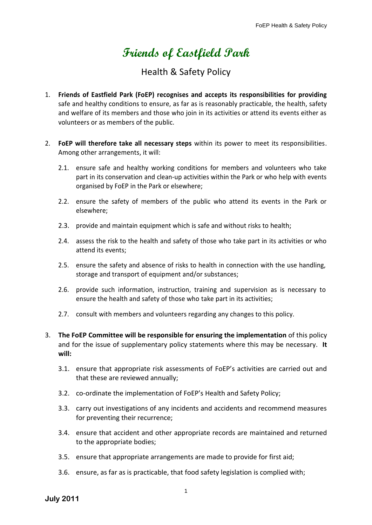## **Friends of Eastfield Park**

## Health & Safety Policy

- 1. **Friends of Eastfield Park (FoEP) recognises and accepts its responsibilities for providing** safe and healthy conditions to ensure, as far as is reasonably practicable, the health, safety and welfare of its members and those who join in its activities or attend its events either as volunteers or as members of the public.
- 2. **FoEP will therefore take all necessary steps** within its power to meet its responsibilities. Among other arrangements, it will:
	- 2.1. ensure safe and healthy working conditions for members and volunteers who take part in its conservation and clean-up activities within the Park or who help with events organised by FoEP in the Park or elsewhere;
	- 2.2. ensure the safety of members of the public who attend its events in the Park or elsewhere;
	- 2.3. provide and maintain equipment which is safe and without risks to health;
	- 2.4. assess the risk to the health and safety of those who take part in its activities or who attend its events;
	- 2.5. ensure the safety and absence of risks to health in connection with the use handling, storage and transport of equipment and/or substances;
	- 2.6. provide such information, instruction, training and supervision as is necessary to ensure the health and safety of those who take part in its activities;
	- 2.7. consult with members and volunteers regarding any changes to this policy.
- 3. **The FoEP Committee will be responsible for ensuring the implementation** of this policy and for the issue of supplementary policy statements where this may be necessary. **It will:**
	- 3.1. ensure that appropriate risk assessments of FoEP's activities are carried out and that these are reviewed annually;
	- 3.2. co-ordinate the implementation of FoEP's Health and Safety Policy;
	- 3.3. carry out investigations of any incidents and accidents and recommend measures for preventing their recurrence;
	- 3.4. ensure that accident and other appropriate records are maintained and returned to the appropriate bodies;
	- 3.5. ensure that appropriate arrangements are made to provide for first aid;
	- 3.6. ensure, as far as is practicable, that food safety legislation is complied with;